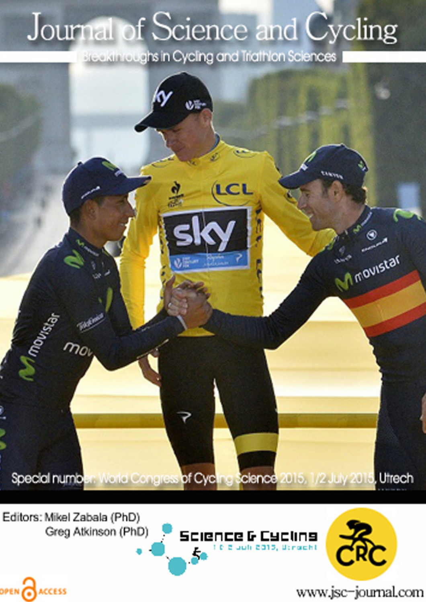## Journal of Science and Cycling

Breakthroughs in Cycling and Triathlon Sciences



Editors: Mikel Zabala (PhD) Greg Atkinson (PhD)

OPEN CACCESS





www.jsc-journal.com